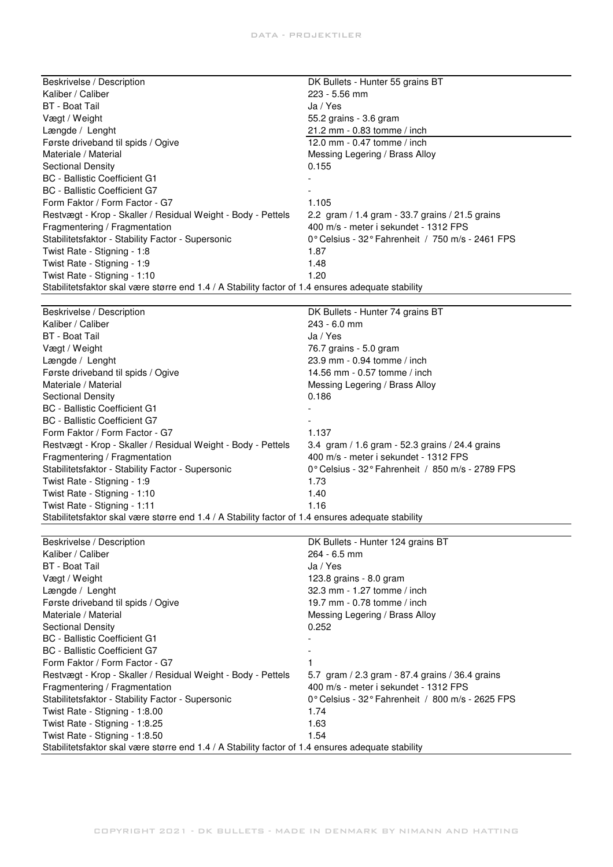| Beskrivelse / Description                                                                         | DK Bullets - Hunter 55 grains BT                 |
|---------------------------------------------------------------------------------------------------|--------------------------------------------------|
| Kaliber / Caliber                                                                                 | 223 - 5.56 mm                                    |
| <b>BT</b> - Boat Tail                                                                             | Ja / Yes                                         |
| Vægt / Weight                                                                                     | 55.2 grains - 3.6 gram                           |
| Længde / Lenght                                                                                   | 21.2 mm - 0.83 tomme / inch                      |
| Første driveband til spids / Ogive                                                                | 12.0 mm - 0.47 tomme / inch                      |
| Materiale / Material                                                                              | Messing Legering / Brass Alloy                   |
| <b>Sectional Density</b>                                                                          | 0.155                                            |
| <b>BC</b> - Ballistic Coefficient G1                                                              |                                                  |
| <b>BC</b> - Ballistic Coefficient G7                                                              |                                                  |
| Form Faktor / Form Factor - G7                                                                    | 1.105                                            |
| Restvægt - Krop - Skaller / Residual Weight - Body - Pettels                                      | 2.2 gram / 1.4 gram - 33.7 grains / 21.5 grains  |
| Fragmentering / Fragmentation                                                                     | 400 m/s - meter i sekundet - 1312 FPS            |
| Stabilitetsfaktor - Stability Factor - Supersonic                                                 | 0° Celsius - 32° Fahrenheit / 750 m/s - 2461 FPS |
| Twist Rate - Stigning - 1:8                                                                       | 1.87                                             |
| Twist Rate - Stigning - 1:9                                                                       | 1.48                                             |
| Twist Rate - Stigning - 1:10                                                                      | 1.20                                             |
| Stabilitetsfaktor skal være større end 1.4 / A Stability factor of 1.4 ensures adequate stability |                                                  |
|                                                                                                   |                                                  |
| Beskrivelse / Description                                                                         | DK Bullets - Hunter 74 grains BT                 |
| Kaliber / Caliber                                                                                 | 243 - 6.0 mm                                     |
| <b>BT</b> - Boat Tail                                                                             | Ja / Yes                                         |
| Vægt / Weight                                                                                     | 76.7 grains - 5.0 gram                           |
| Længde / Lenght                                                                                   | 23.9 mm - 0.94 tomme / inch                      |
| Første driveband til spids / Ogive                                                                | 14.56 mm - 0.57 tomme / inch                     |
| Materiale / Material                                                                              | Messing Legering / Brass Alloy                   |
| <b>Sectional Density</b>                                                                          | 0.186                                            |
| <b>BC</b> - Ballistic Coefficient G1                                                              |                                                  |
| <b>BC</b> - Ballistic Coefficient G7                                                              |                                                  |
| Form Faktor / Form Factor - G7                                                                    | 1.137                                            |
| Restvægt - Krop - Skaller / Residual Weight - Body - Pettels                                      | 3.4 gram / 1.6 gram - 52.3 grains / 24.4 grains  |
| Fragmentering / Fragmentation                                                                     | 400 m/s - meter i sekundet - 1312 FPS            |
| Stabilitetsfaktor - Stability Factor - Supersonic                                                 | 0° Celsius - 32° Fahrenheit / 850 m/s - 2789 FPS |
| Twist Rate - Stigning - 1:9                                                                       | 1.73                                             |
| Twist Rate - Stigning - 1:10                                                                      | 1.40                                             |
| Twist Rate - Stigning - 1:11                                                                      | 1.16                                             |
| Stabilitetsfaktor skal være større end 1.4 / A Stability factor of 1.4 ensures adequate stability |                                                  |
|                                                                                                   |                                                  |
| Beskrivelse / Description                                                                         | DK Bullets - Hunter 124 grains BT                |
| Kaliber / Caliber                                                                                 | 264 - 6.5 mm                                     |
| <b>BT</b> - Boat Tail                                                                             | Ja / Yes                                         |
| Vægt / Weight                                                                                     | 123.8 grains - 8.0 gram                          |
| Længde / Lenght                                                                                   | 32.3 mm - 1.27 tomme / inch                      |
| Første driveband til spids / Ogive                                                                | 19.7 mm - 0.78 tomme / inch                      |
| Materiale / Material                                                                              | Messing Legering / Brass Alloy                   |
| <b>Sectional Density</b>                                                                          | 0.252                                            |
| <b>BC</b> - Ballistic Coefficient G1                                                              |                                                  |
| <b>BC</b> - Ballistic Coefficient G7                                                              |                                                  |
| Form Faktor / Form Factor - G7                                                                    | 1                                                |
| Restvægt - Krop - Skaller / Residual Weight - Body - Pettels                                      | 5.7 gram / 2.3 gram - 87.4 grains / 36.4 grains  |
| Fragmentering / Fragmentation                                                                     | 400 m/s - meter i sekundet - 1312 FPS            |
| Stabilitetsfaktor - Stability Factor - Supersonic                                                 | 0° Celsius - 32° Fahrenheit / 800 m/s - 2625 FPS |
| Twist Rate - Stigning - 1:8.00                                                                    | 1.74                                             |
| Twist Rate - Stigning - 1:8.25                                                                    | 1.63                                             |

Twist Rate - Stigning - 1:8.50 1.54

Stabilitetsfaktor skal være større end 1.4 / A Stability factor of 1.4 ensures adequate stability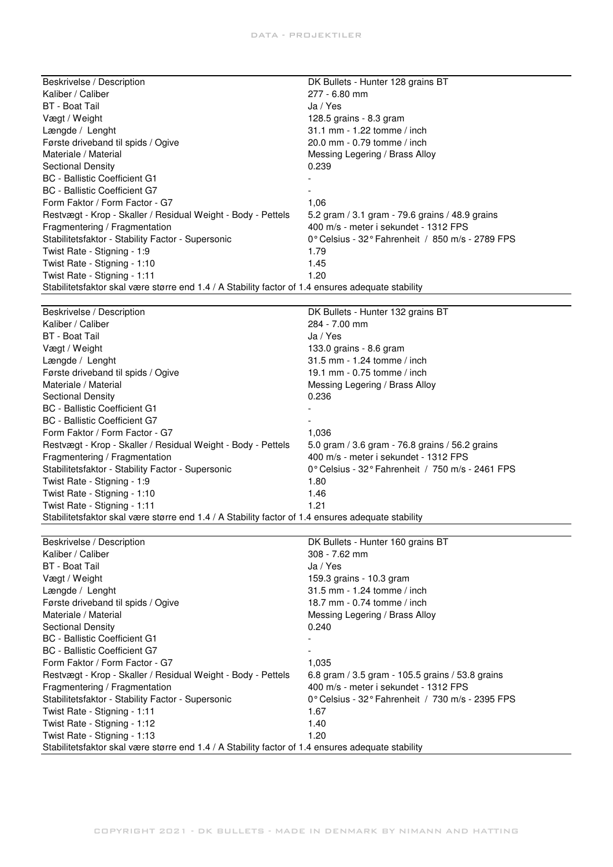| Beskrivelse / Description                                                                         | DK Bullets - Hunter 128 grains BT                |  |
|---------------------------------------------------------------------------------------------------|--------------------------------------------------|--|
| Kaliber / Caliber                                                                                 | 277 - 6.80 mm                                    |  |
| <b>BT</b> - Boat Tail                                                                             | Ja / Yes                                         |  |
| Vægt / Weight                                                                                     | 128.5 grains - 8.3 gram                          |  |
| Længde / Lenght                                                                                   | 31.1 mm - 1.22 tomme / inch                      |  |
| Første driveband til spids / Ogive                                                                | 20.0 mm - 0.79 tomme / inch                      |  |
| Materiale / Material                                                                              | Messing Legering / Brass Alloy                   |  |
| <b>Sectional Density</b>                                                                          | 0.239                                            |  |
| <b>BC</b> - Ballistic Coefficient G1                                                              |                                                  |  |
| <b>BC</b> - Ballistic Coefficient G7                                                              |                                                  |  |
| Form Faktor / Form Factor - G7                                                                    | 1,06                                             |  |
| Restvægt - Krop - Skaller / Residual Weight - Body - Pettels                                      | 5.2 gram / 3.1 gram - 79.6 grains / 48.9 grains  |  |
| Fragmentering / Fragmentation                                                                     | 400 m/s - meter i sekundet - 1312 FPS            |  |
| Stabilitetsfaktor - Stability Factor - Supersonic                                                 | 0° Celsius - 32° Fahrenheit / 850 m/s - 2789 FPS |  |
| Twist Rate - Stigning - 1:9                                                                       | 1.79                                             |  |
| Twist Rate - Stigning - 1:10                                                                      | 1.45                                             |  |
| Twist Rate - Stigning - 1:11                                                                      | 1.20                                             |  |
| Stabilitetsfaktor skal være større end 1.4 / A Stability factor of 1.4 ensures adequate stability |                                                  |  |
|                                                                                                   |                                                  |  |
| Beskrivelse / Description                                                                         | DK Bullets - Hunter 132 grains BT                |  |
| Kaliber / Caliber                                                                                 | 284 - 7.00 mm                                    |  |
| <b>BT</b> - Boat Tail                                                                             | Ja / Yes                                         |  |
| Vægt / Weight                                                                                     | 133.0 grains - 8.6 gram                          |  |
| Længde / Lenght                                                                                   | 31.5 mm - 1.24 tomme / inch                      |  |
| Første driveband til spids / Ogive                                                                | 19.1 mm - 0.75 tomme / inch                      |  |
| Materiale / Material                                                                              | Messing Legering / Brass Alloy                   |  |
| <b>Sectional Density</b>                                                                          | 0.236                                            |  |
| <b>BC</b> - Ballistic Coefficient G1                                                              |                                                  |  |
| <b>BC</b> - Ballistic Coefficient G7                                                              |                                                  |  |
| Form Faktor / Form Factor - G7                                                                    | 1,036                                            |  |
| Restvægt - Krop - Skaller / Residual Weight - Body - Pettels                                      | 5.0 gram / 3.6 gram - 76.8 grains / 56.2 grains  |  |
| Fragmentering / Fragmentation                                                                     | 400 m/s - meter i sekundet - 1312 FPS            |  |
| Stabilitetsfaktor - Stability Factor - Supersonic                                                 | 0° Celsius - 32° Fahrenheit / 750 m/s - 2461 FPS |  |
| Twist Rate - Stigning - 1:9                                                                       | 1.80                                             |  |
| Twist Rate - Stigning - 1:10                                                                      | 1.46                                             |  |
| Twist Rate - Stigning - 1:11                                                                      | 1.21                                             |  |
| Stabilitetsfaktor skal være større end 1.4 / A Stability factor of 1.4 ensures adequate stability |                                                  |  |
|                                                                                                   |                                                  |  |
| Beskrivelse / Description                                                                         | DK Bullets - Hunter 160 grains BT                |  |
| Kaliber / Caliber                                                                                 | 308 - 7.62 mm                                    |  |
| <b>BT</b> - Boat Tail                                                                             | Ja / Yes                                         |  |
| Vægt / Weight                                                                                     | 159.3 grains - 10.3 gram                         |  |
| Længde / Lenght                                                                                   | 31.5 mm - 1.24 tomme / inch                      |  |
| Første driveband til spids / Ogive                                                                | 18.7 mm - 0.74 tomme / inch                      |  |
| Materiale / Material                                                                              | Messing Legering / Brass Alloy                   |  |
| <b>Sectional Density</b>                                                                          | 0.240                                            |  |
| <b>BC</b> - Ballistic Coefficient G1                                                              |                                                  |  |
| <b>BC</b> - Ballistic Coefficient G7                                                              |                                                  |  |
| Form Faktor / Form Factor - G7                                                                    | 1,035                                            |  |
| Restvægt - Krop - Skaller / Residual Weight - Body - Pettels                                      | 6.8 gram / 3.5 gram - 105.5 grains / 53.8 grains |  |
| Fragmentering / Fragmentation                                                                     | 400 m/s - meter i sekundet - 1312 FPS            |  |
| Stabilitetsfaktor - Stability Factor - Supersonic                                                 | 0° Celsius - 32° Fahrenheit / 730 m/s - 2395 FPS |  |
| Twist Rate - Stigning - 1:11                                                                      | 1.67                                             |  |
| Twist Rate - Stigning - 1:12                                                                      | 1.40                                             |  |
| Twist Rate - Stigning - 1:13                                                                      | 1.20                                             |  |
| Stabilitetsfaktor skal være større end 1.4 / A Stability factor of 1.4 ensures adequate stability |                                                  |  |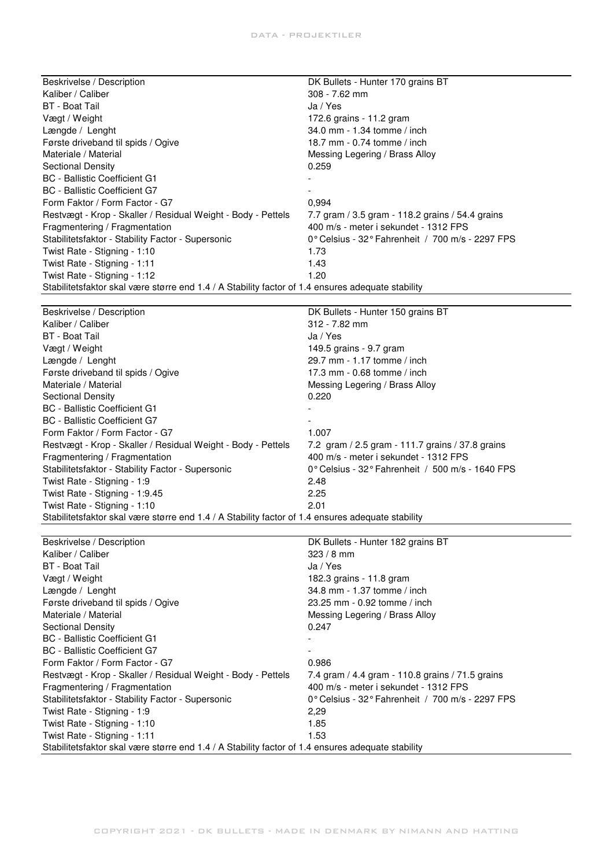| Beskrivelse / Description                                                                         | DK Bullets - Hunter 170 grains BT                  |
|---------------------------------------------------------------------------------------------------|----------------------------------------------------|
| Kaliber / Caliber                                                                                 | 308 - 7.62 mm                                      |
| <b>BT</b> - Boat Tail                                                                             | Ja / Yes                                           |
| Vægt / Weight                                                                                     | 172.6 grains - 11.2 gram                           |
| Længde / Lenght                                                                                   | 34.0 mm - 1.34 tomme / inch                        |
| Første driveband til spids / Ogive                                                                | 18.7 mm - 0.74 tomme / inch                        |
| Materiale / Material                                                                              | Messing Legering / Brass Alloy                     |
| <b>Sectional Density</b>                                                                          | 0.259                                              |
| <b>BC</b> - Ballistic Coefficient G1                                                              |                                                    |
| <b>BC</b> - Ballistic Coefficient G7                                                              |                                                    |
| Form Faktor / Form Factor - G7                                                                    | 0,994                                              |
| Restvægt - Krop - Skaller / Residual Weight - Body - Pettels                                      | 7.7 gram / 3.5 gram - 118.2 grains / 54.4 grains   |
| Fragmentering / Fragmentation                                                                     | 400 m/s - meter i sekundet - 1312 FPS              |
| Stabilitetsfaktor - Stability Factor - Supersonic                                                 | 0° Celsius - 32° Fahrenheit / 700 m/s - 2297 FPS   |
| Twist Rate - Stigning - 1:10                                                                      | 1.73                                               |
| Twist Rate - Stigning - 1:11                                                                      | 1.43                                               |
| Twist Rate - Stigning - 1:12                                                                      | 1.20                                               |
| Stabilitetsfaktor skal være større end 1.4 / A Stability factor of 1.4 ensures adequate stability |                                                    |
|                                                                                                   |                                                    |
|                                                                                                   |                                                    |
| Beskrivelse / Description<br>Kaliber / Caliber                                                    | DK Bullets - Hunter 150 grains BT<br>312 - 7.82 mm |
| <b>BT</b> - Boat Tail                                                                             | Ja / Yes                                           |
|                                                                                                   |                                                    |
| Vægt / Weight                                                                                     | 149.5 grains - 9.7 gram                            |
| Længde / Lenght                                                                                   | 29.7 mm - 1.17 tomme / inch                        |
| Første driveband til spids / Ogive                                                                | 17.3 mm - 0.68 tomme / inch                        |
| Materiale / Material                                                                              | Messing Legering / Brass Alloy                     |
| <b>Sectional Density</b>                                                                          | 0.220                                              |
| <b>BC</b> - Ballistic Coefficient G1                                                              |                                                    |
| <b>BC</b> - Ballistic Coefficient G7                                                              |                                                    |
| Form Faktor / Form Factor - G7                                                                    | 1.007                                              |
| Restvægt - Krop - Skaller / Residual Weight - Body - Pettels                                      | 7.2 gram / 2.5 gram - 111.7 grains / 37.8 grains   |
| Fragmentering / Fragmentation                                                                     | 400 m/s - meter i sekundet - 1312 FPS              |
| Stabilitetsfaktor - Stability Factor - Supersonic                                                 | 0° Celsius - 32° Fahrenheit / 500 m/s - 1640 FPS   |
| Twist Rate - Stigning - 1:9                                                                       | 2.48                                               |
| Twist Rate - Stigning - 1:9.45                                                                    | 2.25                                               |
| Twist Rate - Stigning - 1:10                                                                      | 2.01                                               |
| Stabilitetsfaktor skal være større end 1.4 / A Stability factor of 1.4 ensures adequate stability |                                                    |
|                                                                                                   |                                                    |
| Beskrivelse / Description                                                                         | DK Bullets - Hunter 182 grains BT                  |
| Kaliber / Caliber                                                                                 | $323 / 8$ mm                                       |
| <b>BT</b> - Boat Tail                                                                             | Ja / Yes                                           |
| Vægt / Weight                                                                                     | 182.3 grains - 11.8 gram                           |
| Længde / Lenght                                                                                   | 34.8 mm - 1.37 tomme / inch                        |
| Første driveband til spids / Ogive                                                                | 23.25 mm - 0.92 tomme / inch                       |
| Materiale / Material                                                                              | Messing Legering / Brass Alloy                     |
| <b>Sectional Density</b>                                                                          | 0.247                                              |
| <b>BC</b> - Ballistic Coefficient G1                                                              |                                                    |
| <b>BC</b> - Ballistic Coefficient G7                                                              |                                                    |
| Form Faktor / Form Factor - G7                                                                    | 0.986                                              |
| Restvægt - Krop - Skaller / Residual Weight - Body - Pettels                                      | 7.4 gram / 4.4 gram - 110.8 grains / 71.5 grains   |
|                                                                                                   |                                                    |

Fragmentering / Fragmentation 400 m/s - meter i sekundet - 1312 FPS

Stabilitetsfaktor skal være større end 1.4 / A Stability factor of 1.4 ensures adequate stability

Twist Rate - Stigning - 1:9 2,29 Twist Rate - Stigning - 1:10 1.85 Twist Rate - Stigning - 1:11 1.53

Stabilitetsfaktor - Stability Factor - Supersonic 0° Celsius - 32° Fahrenheit / 700 m/s - 2297 FPS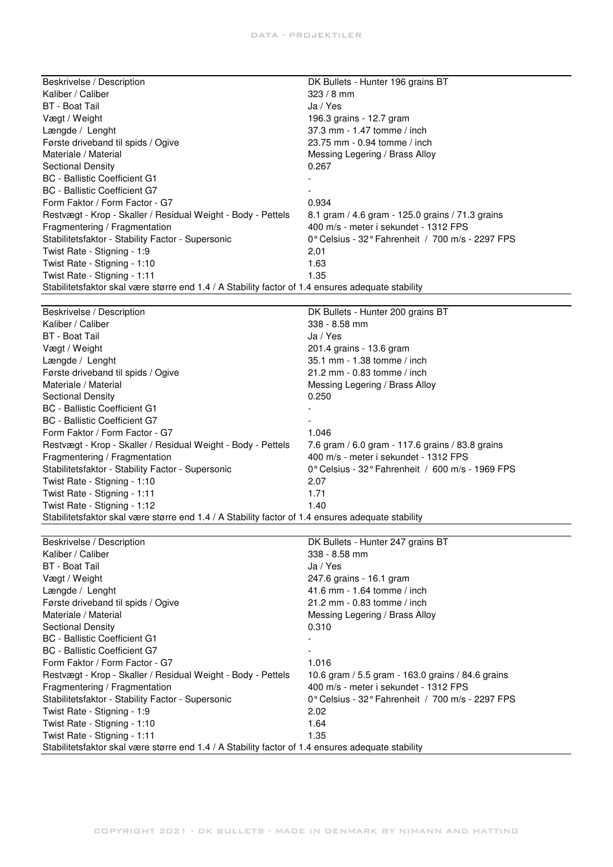| Beskrivelse / Description                                                                         | DK Bullets - Hunter 196 grains BT                |  |
|---------------------------------------------------------------------------------------------------|--------------------------------------------------|--|
| Kaliber / Caliber                                                                                 | $323/8$ mm                                       |  |
| <b>BT</b> - Boat Tail                                                                             | Ja / Yes                                         |  |
| Vægt / Weight                                                                                     | 196.3 grains - 12.7 gram                         |  |
| Længde / Lenght                                                                                   | 37.3 mm - 1.47 tomme / inch                      |  |
| Første driveband til spids / Ogive                                                                | 23.75 mm - 0.94 tomme / inch                     |  |
| Materiale / Material                                                                              | Messing Legering / Brass Alloy                   |  |
| <b>Sectional Density</b>                                                                          | 0.267                                            |  |
| <b>BC</b> - Ballistic Coefficient G1                                                              |                                                  |  |
| <b>BC</b> - Ballistic Coefficient G7                                                              |                                                  |  |
| Form Faktor / Form Factor - G7                                                                    | 0.934                                            |  |
| Restvægt - Krop - Skaller / Residual Weight - Body - Pettels                                      | 8.1 gram / 4.6 gram - 125.0 grains / 71.3 grains |  |
| Fragmentering / Fragmentation                                                                     | 400 m/s - meter i sekundet - 1312 FPS            |  |
| Stabilitetsfaktor - Stability Factor - Supersonic                                                 | 0° Celsius - 32° Fahrenheit / 700 m/s - 2297 FPS |  |
| Twist Rate - Stigning - 1:9                                                                       | 2,01                                             |  |
| Twist Rate - Stigning - 1:10                                                                      | 1.63                                             |  |
| Twist Rate - Stigning - 1:11                                                                      | 1.35                                             |  |
| Stabilitetsfaktor skal være større end 1.4 / A Stability factor of 1.4 ensures adequate stability |                                                  |  |
|                                                                                                   |                                                  |  |
| Beskrivelse / Description                                                                         | DK Bullets - Hunter 200 grains BT                |  |
| Kaliber / Caliber                                                                                 | 338 - 8.58 mm                                    |  |
| <b>BT</b> - Boat Tail                                                                             | Ja / Yes                                         |  |
| Vægt / Weight                                                                                     | 201.4 grains - 13.6 gram                         |  |
| Længde / Lenght                                                                                   | 35.1 mm - 1.38 tomme / inch                      |  |
| Første driveband til spids / Ogive                                                                | 21.2 mm - 0.83 tomme / inch                      |  |
| Materiale / Material                                                                              | Messing Legering / Brass Alloy                   |  |
| <b>Sectional Density</b>                                                                          | 0.250                                            |  |
| <b>BC</b> - Ballistic Coefficient G1                                                              |                                                  |  |

| BC - Ballistic Coefficient G7                                                                     | -                                                                   |
|---------------------------------------------------------------------------------------------------|---------------------------------------------------------------------|
| Form Faktor / Form Factor - G7                                                                    | 1.046                                                               |
| Restvægt - Krop - Skaller / Residual Weight - Body - Pettels                                      | 7.6 gram / 6.0 gram - 117.6 grains / 83.8 grains                    |
| Fragmentering / Fragmentation                                                                     | 400 m/s - meter i sekundet - 1312 FPS                               |
| Stabilitetsfaktor - Stability Factor - Supersonic                                                 | $0^{\circ}$ Celsius - 32 $^{\circ}$ Fahrenheit / 600 m/s - 1969 FPS |
| Twist Rate - Stigning - 1:10                                                                      | 2.07                                                                |
| Twist Rate - Stigning - 1:11                                                                      | 1.71                                                                |
| Twist Rate - Stigning - 1:12                                                                      | 1.40                                                                |
| Stabilitetsfaktor skal være større end 1.4 / A Stability factor of 1.4 ensures adequate stability |                                                                     |
|                                                                                                   |                                                                     |
| Beskrivelse / Description                                                                         | DK Bullets - Hunter 247 grains BT                                   |

|                                                                                                   | <b>PIT DUING THURS ETT GRUPPER</b>                                   |
|---------------------------------------------------------------------------------------------------|----------------------------------------------------------------------|
| Kaliber / Caliber                                                                                 | $338 - 8.58$ mm                                                      |
| BT - Boat Tail                                                                                    | Ja / Yes                                                             |
| Vægt / Weight                                                                                     | 247.6 grains - 16.1 gram                                             |
| Længde / Lenght                                                                                   | 41.6 mm - 1.64 tomme / inch                                          |
| Første driveband til spids / Ogive                                                                | 21.2 mm - 0.83 tomme / inch                                          |
| Materiale / Material                                                                              | Messing Legering / Brass Alloy                                       |
| Sectional Density                                                                                 | 0.310                                                                |
| <b>BC</b> - Ballistic Coefficient G1                                                              |                                                                      |
| <b>BC</b> - Ballistic Coefficient G7                                                              | ۰                                                                    |
| Form Faktor / Form Factor - G7                                                                    | 1.016                                                                |
| Restvægt - Krop - Skaller / Residual Weight - Body - Pettels                                      | 10.6 gram / 5.5 gram - 163.0 grains / 84.6 grains                    |
| Fragmentering / Fragmentation                                                                     | 400 m/s - meter i sekundet - 1312 FPS                                |
| Stabilitetsfaktor - Stability Factor - Supersonic                                                 | 0 $^{\circ}$ Celsius - 32 $^{\circ}$ Fahrenheit / 700 m/s - 2297 FPS |
| Twist Rate - Stigning - 1:9                                                                       | 2.02                                                                 |
| Twist Rate - Stigning - 1:10                                                                      | 1.64                                                                 |
| Twist Rate - Stigning - 1:11                                                                      | 1.35                                                                 |
| Stabilitetsfaktor skal være større end 1.4 / A Stability factor of 1.4 ensures adequate stability |                                                                      |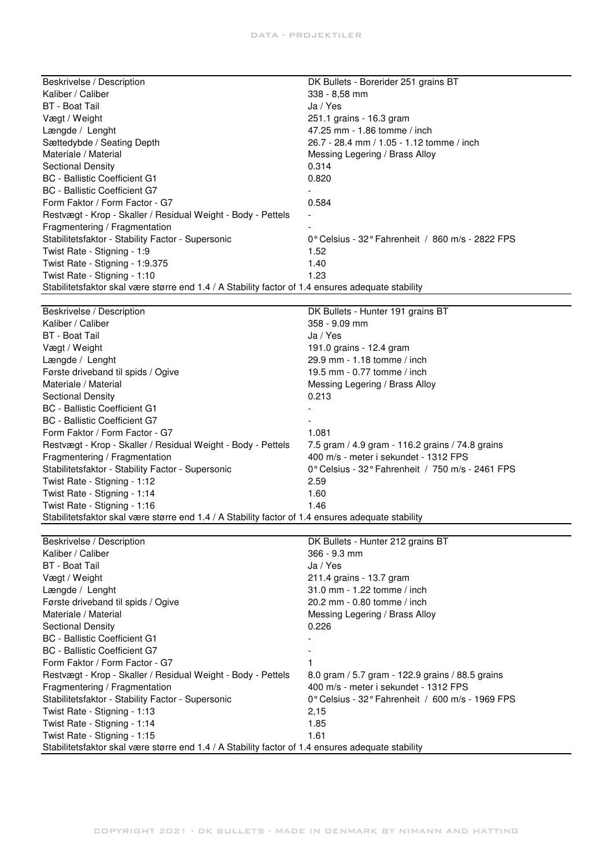| Beskrivelse / Description                                                                         | DK Bullets - Borerider 251 grains BT                                |
|---------------------------------------------------------------------------------------------------|---------------------------------------------------------------------|
| Kaliber / Caliber                                                                                 | $338 - 8.58$ mm                                                     |
| BT - Boat Tail                                                                                    | Ja / Yes                                                            |
| Vægt / Weight                                                                                     | 251.1 grains - 16.3 gram                                            |
| Længde / Lenght                                                                                   | 47.25 mm - 1.86 tomme / inch                                        |
| Sættedybde / Seating Depth                                                                        | 26.7 - 28.4 mm / 1.05 - 1.12 tomme / inch                           |
| Materiale / Material                                                                              | Messing Legering / Brass Alloy                                      |
| Sectional Density                                                                                 | 0.314                                                               |
| <b>BC</b> - Ballistic Coefficient G1                                                              | 0.820                                                               |
| BC - Ballistic Coefficient G7                                                                     |                                                                     |
| Form Faktor / Form Factor - G7                                                                    | 0.584                                                               |
| Restvægt - Krop - Skaller / Residual Weight - Body - Pettels                                      | $\overline{\phantom{a}}$                                            |
| Fragmentering / Fragmentation                                                                     |                                                                     |
| Stabilitetsfaktor - Stability Factor - Supersonic                                                 | $0^{\circ}$ Celsius - 32 $^{\circ}$ Fahrenheit / 860 m/s - 2822 FPS |
| Twist Rate - Stigning - 1:9                                                                       | 1.52                                                                |
| Twist Rate - Stigning - 1:9.375                                                                   | 1.40                                                                |
| Twist Rate - Stigning - 1:10                                                                      | 1.23                                                                |
| Stabilitetsfaktor skal være større end 1.4 / A Stability factor of 1.4 ensures adequate stability |                                                                     |
|                                                                                                   |                                                                     |

| Beskrivelse / Description                                                                         | DK Bullets - Hunter 191 grains BT                                    |
|---------------------------------------------------------------------------------------------------|----------------------------------------------------------------------|
| Kaliber / Caliber                                                                                 | $358 - 9.09$ mm                                                      |
| BT - Boat Tail                                                                                    | Ja / Yes                                                             |
| Vægt / Weight                                                                                     | 191.0 grains - 12.4 gram                                             |
| Længde / Lenght                                                                                   | 29.9 mm - 1.18 tomme / inch                                          |
| Første driveband til spids / Ogive                                                                | 19.5 mm - 0.77 tomme / inch                                          |
| Materiale / Material                                                                              | Messing Legering / Brass Alloy                                       |
| Sectional Density                                                                                 | 0.213                                                                |
| <b>BC</b> - Ballistic Coefficient G1                                                              |                                                                      |
| BC - Ballistic Coefficient G7                                                                     |                                                                      |
| Form Faktor / Form Factor - G7                                                                    | 1.081                                                                |
| Restvægt - Krop - Skaller / Residual Weight - Body - Pettels                                      | 7.5 gram / 4.9 gram - 116.2 grains / 74.8 grains                     |
| Fragmentering / Fragmentation                                                                     | 400 m/s - meter i sekundet - 1312 FPS                                |
| Stabilitetsfaktor - Stability Factor - Supersonic                                                 | 0 $^{\circ}$ Celsius - 32 $^{\circ}$ Fahrenheit / 750 m/s - 2461 FPS |
| Twist Rate - Stigning - 1:12                                                                      | 2.59                                                                 |
| Twist Rate - Stigning - 1:14                                                                      | 1.60                                                                 |
| Twist Rate - Stigning - 1:16                                                                      | 1.46                                                                 |
| Stabilitetsfaktor skal være større end 1.4 / A Stability factor of 1.4 ensures adequate stability |                                                                      |
|                                                                                                   |                                                                      |

| Beskrivelse / Description                                                                         | DK Bullets - Hunter 212 grains BT                                   |
|---------------------------------------------------------------------------------------------------|---------------------------------------------------------------------|
| Kaliber / Caliber                                                                                 | $366 - 9.3$ mm                                                      |
| BT - Boat Tail                                                                                    | Ja / Yes                                                            |
| Vægt / Weight                                                                                     | 211.4 grains - 13.7 gram                                            |
| Længde / Lenght                                                                                   | 31.0 mm - 1.22 tomme / inch                                         |
| Første driveband til spids / Ogive                                                                | 20.2 mm - 0.80 tomme / inch                                         |
| Materiale / Material                                                                              | Messing Legering / Brass Alloy                                      |
| Sectional Density                                                                                 | 0.226                                                               |
| <b>BC</b> - Ballistic Coefficient G1                                                              |                                                                     |
| BC - Ballistic Coefficient G7                                                                     |                                                                     |
| Form Faktor / Form Factor - G7                                                                    |                                                                     |
| Restvægt - Krop - Skaller / Residual Weight - Body - Pettels                                      | 8.0 gram / 5.7 gram - 122.9 grains / 88.5 grains                    |
| Fragmentering / Fragmentation                                                                     | 400 m/s - meter i sekundet - 1312 FPS                               |
| Stabilitetsfaktor - Stability Factor - Supersonic                                                 | $0^{\circ}$ Celsius - 32 $^{\circ}$ Fahrenheit / 600 m/s - 1969 FPS |
| Twist Rate - Stigning - 1:13                                                                      | 2,15                                                                |
| Twist Rate - Stigning - 1:14                                                                      | 1.85                                                                |
| Twist Rate - Stigning - 1:15                                                                      | 1.61                                                                |
| Stabilitetsfaktor skal være større end 1.4 / A Stability factor of 1.4 ensures adequate stability |                                                                     |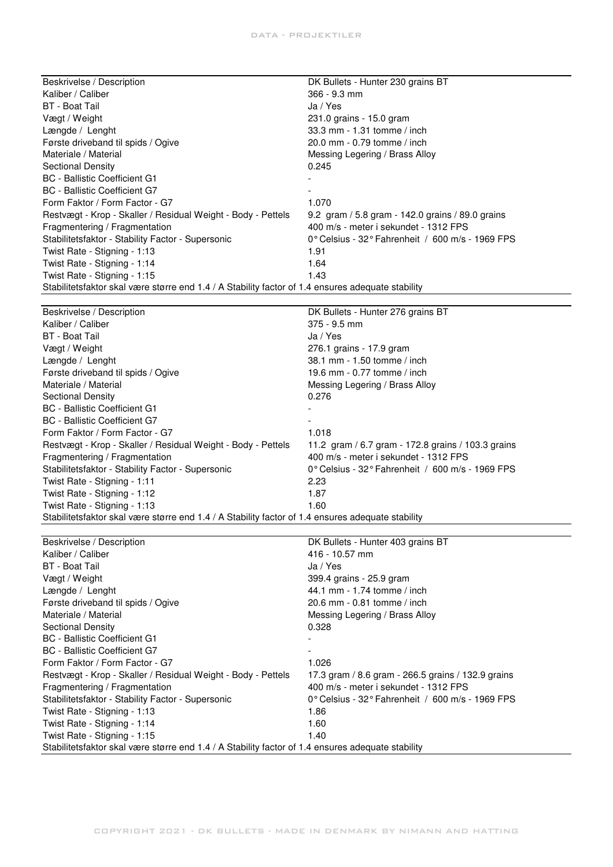| Beskrivelse / Description                                                                         | DK Bullets - Hunter 230 grains BT                  |
|---------------------------------------------------------------------------------------------------|----------------------------------------------------|
| Kaliber / Caliber                                                                                 | 366 - 9.3 mm                                       |
| <b>BT</b> - Boat Tail                                                                             | Ja / Yes                                           |
| Vægt / Weight                                                                                     | 231.0 grains - 15.0 gram                           |
| Længde / Lenght                                                                                   | 33.3 mm - 1.31 tomme / inch                        |
| Første driveband til spids / Ogive                                                                | 20.0 mm - 0.79 tomme / inch                        |
| Materiale / Material                                                                              | Messing Legering / Brass Alloy                     |
| <b>Sectional Density</b>                                                                          | 0.245                                              |
| <b>BC</b> - Ballistic Coefficient G1                                                              |                                                    |
| <b>BC</b> - Ballistic Coefficient G7                                                              |                                                    |
| Form Faktor / Form Factor - G7                                                                    | 1.070                                              |
| Restvægt - Krop - Skaller / Residual Weight - Body - Pettels                                      | 9.2 gram / 5.8 gram - 142.0 grains / 89.0 grains   |
| Fragmentering / Fragmentation                                                                     | 400 m/s - meter i sekundet - 1312 FPS              |
| Stabilitetsfaktor - Stability Factor - Supersonic                                                 | 0° Celsius - 32° Fahrenheit / 600 m/s - 1969 FPS   |
| Twist Rate - Stigning - 1:13                                                                      | 1.91                                               |
| Twist Rate - Stigning - 1:14                                                                      | 1.64                                               |
| Twist Rate - Stigning - 1:15                                                                      | 1.43                                               |
| Stabilitetsfaktor skal være større end 1.4 / A Stability factor of 1.4 ensures adequate stability |                                                    |
|                                                                                                   |                                                    |
| Beskrivelse / Description                                                                         | DK Bullets - Hunter 276 grains BT                  |
| Kaliber / Caliber                                                                                 | $375 - 9.5$ mm                                     |
| <b>BT</b> - Boat Tail                                                                             | Ja / Yes                                           |
| Vægt / Weight                                                                                     | 276.1 grains - 17.9 gram                           |
| Længde / Lenght                                                                                   | 38.1 mm - 1.50 tomme / inch                        |
| Første driveband til spids / Ogive                                                                | 19.6 mm - 0.77 tomme / inch                        |
| Materiale / Material                                                                              | Messing Legering / Brass Alloy                     |
| Sectional Density                                                                                 | 0.276                                              |
| <b>BC</b> - Ballistic Coefficient G1                                                              |                                                    |
| <b>BC</b> - Ballistic Coefficient G7                                                              |                                                    |
| Form Faktor / Form Factor - G7                                                                    | 1.018                                              |
| Restvægt - Krop - Skaller / Residual Weight - Body - Pettels                                      | 11.2 gram / 6.7 gram - 172.8 grains / 103.3 grains |
| Fragmentering / Fragmentation                                                                     | 400 m/s - meter i sekundet - 1312 FPS              |
| Stabilitetsfaktor - Stability Factor - Supersonic                                                 | 0° Celsius - 32° Fahrenheit / 600 m/s - 1969 FPS   |
| Twist Rate - Stigning - 1:11                                                                      | 2.23                                               |
| Twist Rate - Stigning - 1:12                                                                      | 1.87                                               |
| Twist Rate - Stigning - 1:13                                                                      | 1.60                                               |
| Stabilitetsfaktor skal være større end 1.4 / A Stability factor of 1.4 ensures adequate stability |                                                    |
|                                                                                                   |                                                    |
| Beskrivelse / Description                                                                         | DK Bullets - Hunter 403 grains BT                  |
| Kaliber / Caliber                                                                                 | 416 - 10.57 mm                                     |
| BT - Boat Tail                                                                                    | Ja / Yes                                           |

| BT - Boat Tail                                                                                    | Ja / Yes                                                            |
|---------------------------------------------------------------------------------------------------|---------------------------------------------------------------------|
| Vægt / Weight                                                                                     | 399.4 grains - 25.9 gram                                            |
| Længde / Lenght                                                                                   | 44.1 mm - 1.74 tomme / inch                                         |
| Første driveband til spids / Ogive                                                                | 20.6 mm - 0.81 tomme / inch                                         |
| Materiale / Material                                                                              | Messing Legering / Brass Alloy                                      |
| <b>Sectional Density</b>                                                                          | 0.328                                                               |
| <b>BC</b> - Ballistic Coefficient G1                                                              |                                                                     |
| BC - Ballistic Coefficient G7                                                                     |                                                                     |
| Form Faktor / Form Factor - G7                                                                    | 1.026                                                               |
| Restvægt - Krop - Skaller / Residual Weight - Body - Pettels                                      | 17.3 gram / 8.6 gram - 266.5 grains / 132.9 grains                  |
| Fragmentering / Fragmentation                                                                     | 400 m/s - meter i sekundet - 1312 FPS                               |
| Stabilitetsfaktor - Stability Factor - Supersonic                                                 | $0^{\circ}$ Celsius - 32 $^{\circ}$ Fahrenheit / 600 m/s - 1969 FPS |
| Twist Rate - Stigning - 1:13                                                                      | 1.86                                                                |
| Twist Rate - Stigning - 1:14                                                                      | 1.60                                                                |
| Twist Rate - Stigning - 1:15                                                                      | 1.40                                                                |
| Stabilitetsfaktor skal være større end 1.4 / A Stability factor of 1.4 ensures adequate stability |                                                                     |

 $\overline{a}$